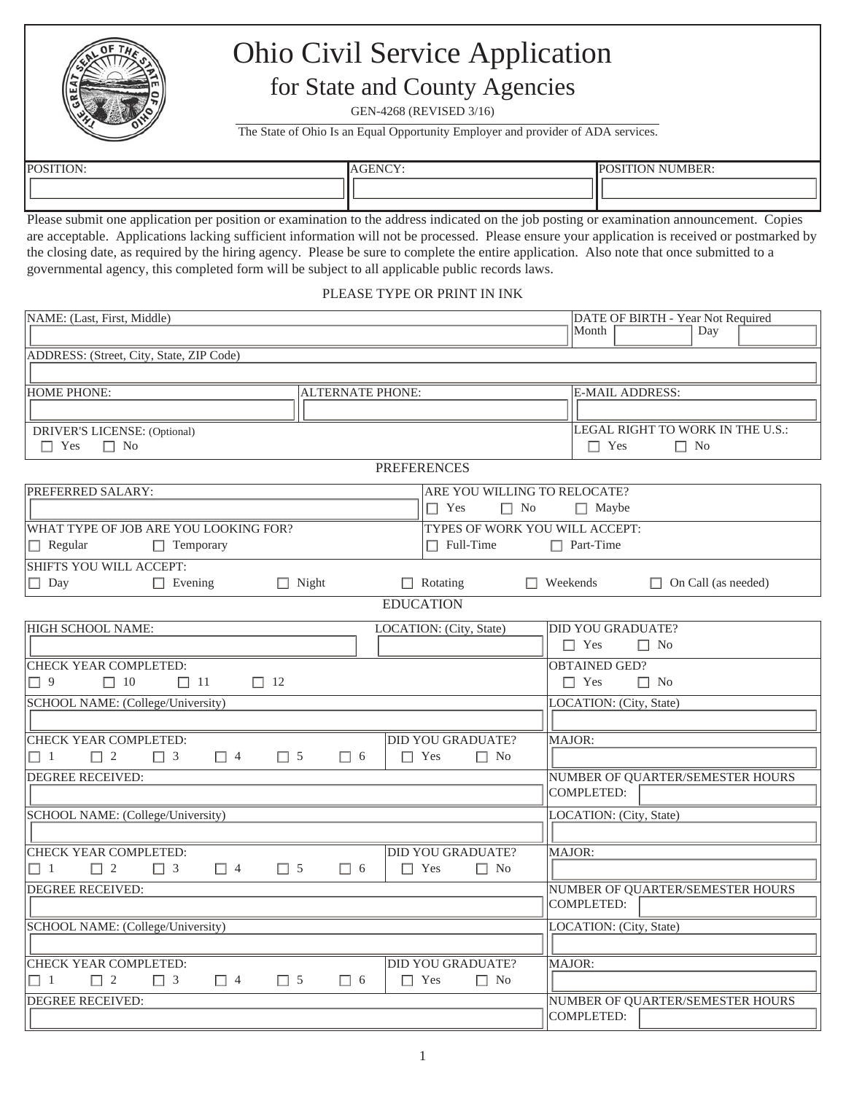

## Ohio Civil Service Application for State and County Agencies

GEN-4268 (REVISED 3/16)

The State of Ohio Is an Equal Opportunity Employer and provider of ADA services.

| <b>POSITION</b><br>.HUIN: | ------<br>. ε τΗ "<br>. . | $\cdots$<br>NUMBER:-<br>$\sqrt{ }$ |
|---------------------------|---------------------------|------------------------------------|
|                           |                           |                                    |
|                           |                           |                                    |

Please submit one application per position or examination to the address indicated on the job posting or examination announcement. Copies are acceptable. Applications lacking sufficient information will not be processed. Please ensure your application is received or postmarked by the closing date, as required by the hiring agency. Please be sure to complete the entire application. Also note that once submitted to a governmental agency, this completed form will be subject to all applicable public records laws.

PLEASE TYPE OR PRINT IN INK

| NAME: (Last, First, Middle)                              |                                                    | DATE OF BIRTH - Year Not Required |
|----------------------------------------------------------|----------------------------------------------------|-----------------------------------|
|                                                          |                                                    | Month<br>Day                      |
| ADDRESS: (Street, City, State, ZIP Code)                 |                                                    |                                   |
|                                                          |                                                    |                                   |
| <b>HOME PHONE:</b>                                       | <b>ALTERNATE PHONE:</b>                            | <b>E-MAIL ADDRESS:</b>            |
|                                                          |                                                    |                                   |
| DRIVER'S LICENSE: (Optional)                             |                                                    | LEGAL RIGHT TO WORK IN THE U.S.:  |
| $\Box$ Yes<br>$\Box$ No                                  |                                                    | $\Box$ Yes<br>$\Box$ No           |
|                                                          | <b>PREFERENCES</b>                                 |                                   |
| PREFERRED SALARY:                                        | ARE YOU WILLING TO RELOCATE?                       |                                   |
|                                                          | $\Box$ Yes<br>$\Box$ No                            | $\Box$ Maybe                      |
| WHAT TYPE OF JOB ARE YOU LOOKING FOR?                    | TYPES OF WORK YOU WILL ACCEPT:                     |                                   |
| $\Box$ Regular<br>$\Box$ Temporary                       | $\Box$ Full-Time                                   | $\Box$ Part-Time                  |
| <b>SHIFTS YOU WILL ACCEPT:</b>                           |                                                    |                                   |
| $\Box$ Day<br>$\Box$ Evening                             | $\Box$ Night<br>$\Box$ Rotating<br>$\Box$ Weekends | $\Box$ On Call (as needed)        |
|                                                          | <b>EDUCATION</b>                                   |                                   |
| HIGH SCHOOL NAME:                                        | LOCATION: (City, State)                            | <b>DID YOU GRADUATE?</b>          |
|                                                          |                                                    | $\Box$ Yes<br>$\Box$ No           |
| CHECK YEAR COMPLETED:                                    |                                                    | <b>OBTAINED GED?</b>              |
| $\Box$ 9<br>$\Box$ 10<br>$\Box$ 11<br>$\Box$ 12          |                                                    | $\Box$ Yes<br>$\Box$ No           |
| SCHOOL NAME: (College/University)                        |                                                    | LOCATION: (City, State)           |
|                                                          |                                                    |                                   |
| CHECK YEAR COMPLETED:                                    | <b>DID YOU GRADUATE?</b>                           | MAJOR:                            |
| $\Box$ 1<br>$\Box$ 2<br>$\Box$ 3<br>$\Box$ 4<br>$\Box$ 5 | $\Box$ Yes<br>$\Box$ No<br>$\Box$ 6                |                                   |
| <b>DEGREE RECEIVED:</b>                                  |                                                    | NUMBER OF QUARTER/SEMESTER HOURS  |
|                                                          |                                                    | COMPLETED:                        |
| SCHOOL NAME: (College/University)                        |                                                    | LOCATION: (City, State)           |
|                                                          |                                                    |                                   |
| <b>CHECK YEAR COMPLETED:</b>                             | <b>DID YOU GRADUATE?</b>                           | MAJOR:                            |
| $\Box$ 1<br>$\Box$ 2<br>$\Box$ 3<br>$\Box$ 4<br>$\Box$ 5 | $\Box$ 6<br>$\Box$ Yes<br>$\Box$ No                |                                   |
| <b>DEGREE RECEIVED:</b>                                  |                                                    | NUMBER OF QUARTER/SEMESTER HOURS  |
|                                                          |                                                    | COMPLETED:                        |
| SCHOOL NAME: (College/University)                        |                                                    | LOCATION: (City, State)           |
|                                                          |                                                    |                                   |
| CHECK YEAR COMPLETED:                                    | <b>DID YOU GRADUATE?</b>                           | MAJOR:                            |
| $\Box$ 4<br>$\Box$ 5<br>$\Box$ 1<br>$\Box$ 2<br>$\Box$ 3 | $\Box$ 6<br>$\Box$ Yes<br>$\Box$ No                |                                   |
| <b>DEGREE RECEIVED:</b>                                  |                                                    | NUMBER OF QUARTER/SEMESTER HOURS  |
|                                                          |                                                    | <b>COMPLETED:</b>                 |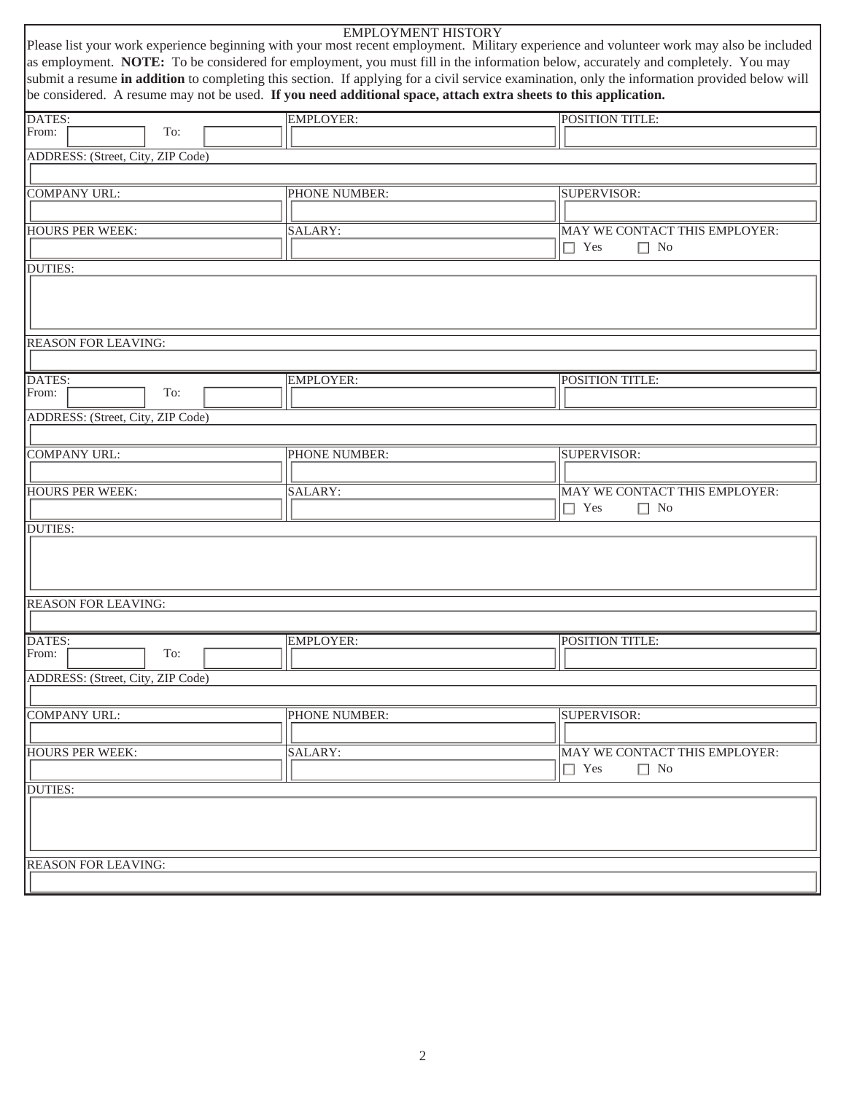|                                                                                                                 | <b>EMPLOYMENT HISTORY</b> | Please list your work experience beginning with your most recent employment. Military experience and volunteer work may also be included<br>as employment. NOTE: To be considered for employment, you must fill in the information below, accurately and completely. You may<br>submit a resume in addition to completing this section. If applying for a civil service examination, only the information provided below will |
|-----------------------------------------------------------------------------------------------------------------|---------------------------|-------------------------------------------------------------------------------------------------------------------------------------------------------------------------------------------------------------------------------------------------------------------------------------------------------------------------------------------------------------------------------------------------------------------------------|
| be considered. A resume may not be used. If you need additional space, attach extra sheets to this application. |                           |                                                                                                                                                                                                                                                                                                                                                                                                                               |
| DATES:                                                                                                          | <b>EMPLOYER:</b>          | <b>POSITION TITLE:</b>                                                                                                                                                                                                                                                                                                                                                                                                        |
| From:<br>To:                                                                                                    |                           |                                                                                                                                                                                                                                                                                                                                                                                                                               |
| ADDRESS: (Street, City, ZIP Code)                                                                               |                           |                                                                                                                                                                                                                                                                                                                                                                                                                               |
|                                                                                                                 |                           |                                                                                                                                                                                                                                                                                                                                                                                                                               |
| COMPANY URL:                                                                                                    | PHONE NUMBER:             | SUPERVISOR:                                                                                                                                                                                                                                                                                                                                                                                                                   |
|                                                                                                                 |                           |                                                                                                                                                                                                                                                                                                                                                                                                                               |
| <b>HOURS PER WEEK:</b>                                                                                          | SALARY:                   | MAY WE CONTACT THIS EMPLOYER:                                                                                                                                                                                                                                                                                                                                                                                                 |
|                                                                                                                 |                           | $\Box$ Yes<br>$\Box$ No                                                                                                                                                                                                                                                                                                                                                                                                       |
| <b>DUTIES:</b>                                                                                                  |                           |                                                                                                                                                                                                                                                                                                                                                                                                                               |
| <b>REASON FOR LEAVING:</b>                                                                                      |                           |                                                                                                                                                                                                                                                                                                                                                                                                                               |
|                                                                                                                 |                           |                                                                                                                                                                                                                                                                                                                                                                                                                               |
| DATES:<br>From:<br>To:                                                                                          | <b>EMPLOYER:</b>          | POSITION TITLE:                                                                                                                                                                                                                                                                                                                                                                                                               |
|                                                                                                                 |                           |                                                                                                                                                                                                                                                                                                                                                                                                                               |
| ADDRESS: (Street, City, ZIP Code)                                                                               |                           |                                                                                                                                                                                                                                                                                                                                                                                                                               |
| COMPANY URL:                                                                                                    | PHONE NUMBER:             | SUPERVISOR:                                                                                                                                                                                                                                                                                                                                                                                                                   |
|                                                                                                                 |                           |                                                                                                                                                                                                                                                                                                                                                                                                                               |
| <b>HOURS PER WEEK:</b>                                                                                          | SALARY:                   | MAY WE CONTACT THIS EMPLOYER:                                                                                                                                                                                                                                                                                                                                                                                                 |
|                                                                                                                 |                           | $\Box$ Yes<br>$\Box$ No                                                                                                                                                                                                                                                                                                                                                                                                       |
| <b>DUTIES:</b>                                                                                                  |                           |                                                                                                                                                                                                                                                                                                                                                                                                                               |
|                                                                                                                 |                           |                                                                                                                                                                                                                                                                                                                                                                                                                               |
| <b>REASON FOR LEAVING:</b>                                                                                      |                           |                                                                                                                                                                                                                                                                                                                                                                                                                               |
| DATES:                                                                                                          | <b>EMPLOYER:</b>          | POSITION TITLE:                                                                                                                                                                                                                                                                                                                                                                                                               |
| From:<br>To:                                                                                                    |                           |                                                                                                                                                                                                                                                                                                                                                                                                                               |
| ADDRESS: (Street, City, ZIP Code)                                                                               |                           |                                                                                                                                                                                                                                                                                                                                                                                                                               |
|                                                                                                                 |                           |                                                                                                                                                                                                                                                                                                                                                                                                                               |
| <b>COMPANY URL:</b>                                                                                             | PHONE NUMBER:             | SUPERVISOR:                                                                                                                                                                                                                                                                                                                                                                                                                   |
|                                                                                                                 |                           |                                                                                                                                                                                                                                                                                                                                                                                                                               |
|                                                                                                                 |                           |                                                                                                                                                                                                                                                                                                                                                                                                                               |
| HOURS PER WEEK:                                                                                                 | SALARY:                   | MAY WE CONTACT THIS EMPLOYER:<br>$\Box$ Yes<br>$\Box$ No                                                                                                                                                                                                                                                                                                                                                                      |
| <b>DUTIES:</b>                                                                                                  |                           |                                                                                                                                                                                                                                                                                                                                                                                                                               |
|                                                                                                                 |                           |                                                                                                                                                                                                                                                                                                                                                                                                                               |
| <b>REASON FOR LEAVING:</b>                                                                                      |                           |                                                                                                                                                                                                                                                                                                                                                                                                                               |
|                                                                                                                 |                           |                                                                                                                                                                                                                                                                                                                                                                                                                               |
|                                                                                                                 |                           |                                                                                                                                                                                                                                                                                                                                                                                                                               |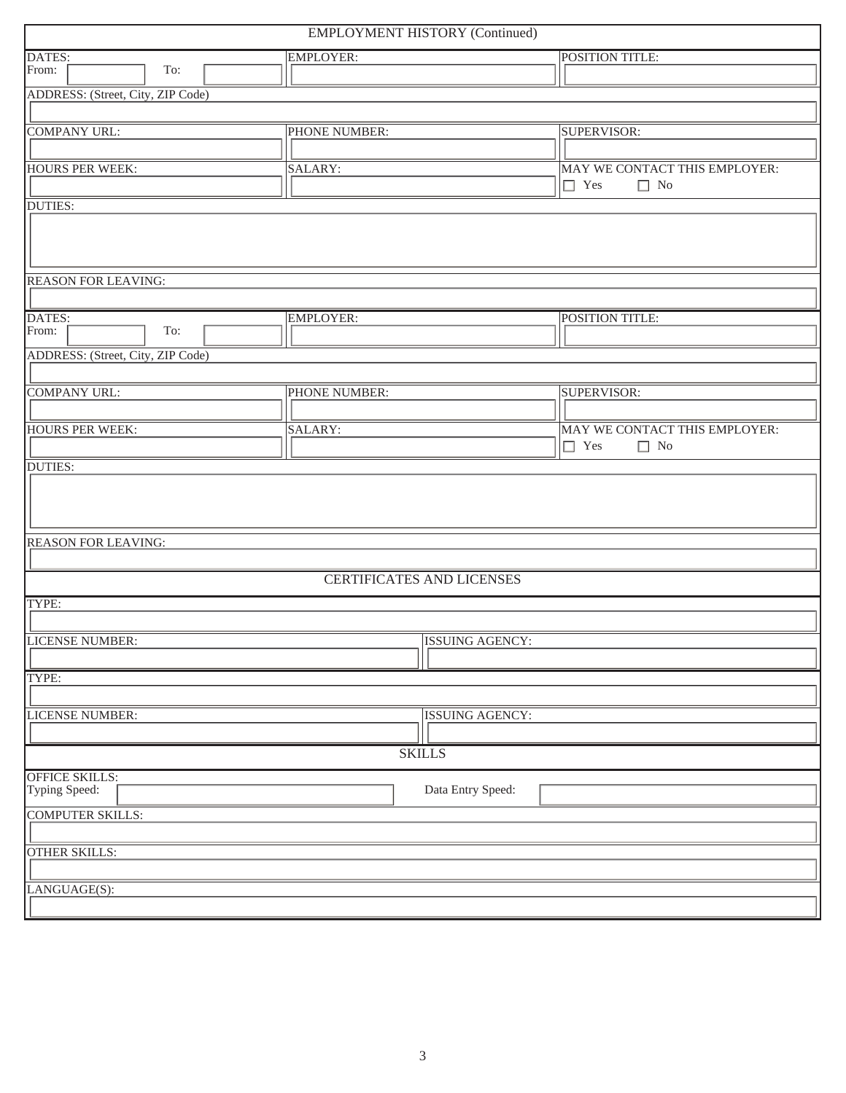| <b>EMPLOYMENT HISTORY (Continued)</b> |                                           |                                  |                               |  |
|---------------------------------------|-------------------------------------------|----------------------------------|-------------------------------|--|
| DATES:                                | <b>EMPLOYER:</b>                          |                                  | POSITION TITLE:               |  |
| From:<br>To:                          |                                           |                                  |                               |  |
| ADDRESS: (Street, City, ZIP Code)     |                                           |                                  |                               |  |
|                                       |                                           |                                  |                               |  |
| <b>COMPANY URL:</b>                   | PHONE NUMBER:                             |                                  | SUPERVISOR:                   |  |
|                                       |                                           |                                  |                               |  |
| <b>HOURS PER WEEK:</b>                | SALARY:                                   |                                  | MAY WE CONTACT THIS EMPLOYER: |  |
|                                       |                                           |                                  | $\Box$ Yes<br>$\Box$ No       |  |
| <b>DUTIES:</b>                        |                                           |                                  |                               |  |
|                                       |                                           |                                  |                               |  |
|                                       |                                           |                                  |                               |  |
|                                       |                                           |                                  |                               |  |
| <b>REASON FOR LEAVING:</b>            |                                           |                                  |                               |  |
|                                       |                                           |                                  |                               |  |
| DATES:                                | <b>EMPLOYER:</b>                          |                                  | POSITION TITLE:               |  |
| From:<br>To:                          |                                           |                                  |                               |  |
| ADDRESS: (Street, City, ZIP Code)     |                                           |                                  |                               |  |
|                                       |                                           |                                  |                               |  |
| <b>COMPANY URL:</b>                   | PHONE NUMBER:                             |                                  | SUPERVISOR:                   |  |
|                                       |                                           |                                  |                               |  |
| <b>HOURS PER WEEK:</b>                | SALARY:                                   |                                  | MAY WE CONTACT THIS EMPLOYER: |  |
|                                       |                                           |                                  | $\Box$ Yes<br>$\Box$ No       |  |
| <b>DUTIES:</b>                        |                                           |                                  |                               |  |
|                                       |                                           |                                  |                               |  |
|                                       |                                           |                                  |                               |  |
|                                       |                                           |                                  |                               |  |
| <b>REASON FOR LEAVING:</b>            |                                           |                                  |                               |  |
|                                       |                                           |                                  |                               |  |
|                                       |                                           | <b>CERTIFICATES AND LICENSES</b> |                               |  |
|                                       |                                           |                                  |                               |  |
| TYPE:                                 |                                           |                                  |                               |  |
|                                       |                                           |                                  |                               |  |
|                                       | <b>LICENSE NUMBER:</b><br>ISSUING AGENCY: |                                  |                               |  |
|                                       |                                           |                                  |                               |  |
| TYPE:                                 |                                           |                                  |                               |  |
|                                       |                                           |                                  |                               |  |
| LICENSE NUMBER:                       |                                           | ISSUING AGENCY:                  |                               |  |
|                                       |                                           |                                  |                               |  |
|                                       |                                           | <b>SKILLS</b>                    |                               |  |
| <b>OFFICE SKILLS:</b>                 |                                           |                                  |                               |  |
| Typing Speed:                         |                                           | Data Entry Speed:                |                               |  |
| <b>COMPUTER SKILLS:</b>               |                                           |                                  |                               |  |
|                                       |                                           |                                  |                               |  |
| <b>OTHER SKILLS:</b>                  |                                           |                                  |                               |  |
|                                       |                                           |                                  |                               |  |
| LANGUAGE(S):                          |                                           |                                  |                               |  |
|                                       |                                           |                                  |                               |  |
|                                       |                                           |                                  |                               |  |